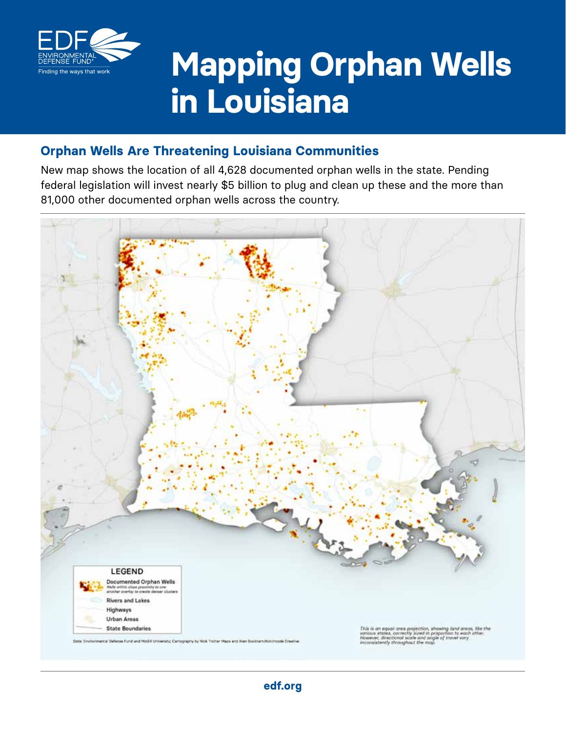

# **Mapping Orphan Wells in Louisiana**

## **Orphan Wells Are Threatening Louisiana Communities**

New map shows the location of all 4,628 documented orphan wells in the state. Pending federal legislation will invest nearly \$5 billion to plug and clean up these and the more than 81,000 other documented orphan wells across the country.